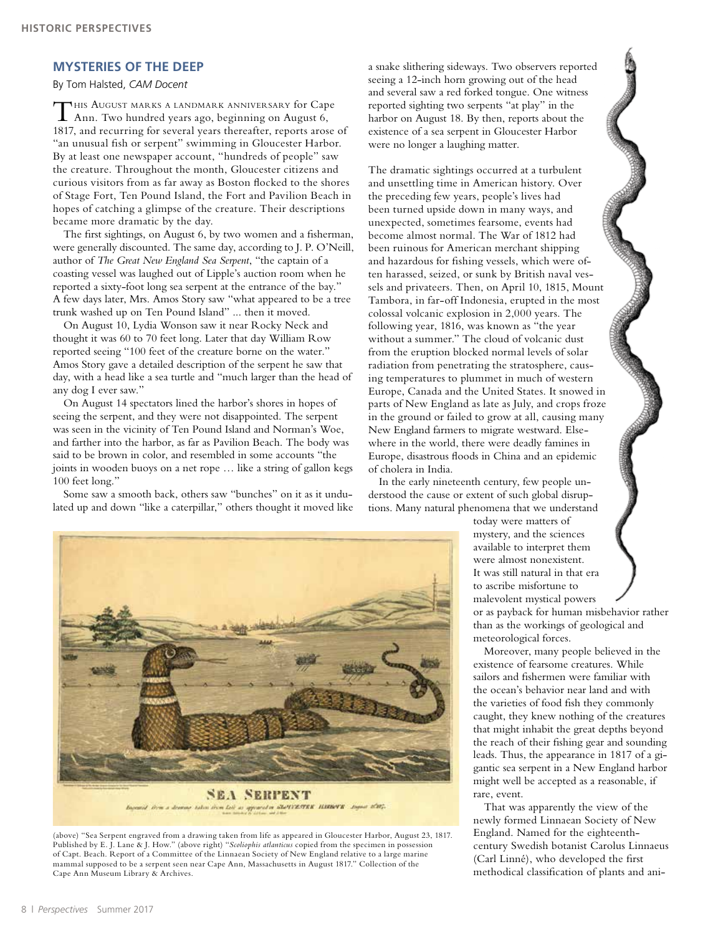## **MYSTERIES OF THE DEEP**

By Tom Halsted, *CAM Docent*

This August marks <sup>a</sup> landmark anniversary for Cape Ann. Two hundred years ago, beginning on August 6, 1817, and recurring for several years thereafter, reports arose of "an unusual fish or serpent" swimming in Gloucester Harbor. By at least one newspaper account, "hundreds of people" saw the creature. Throughout the month, Gloucester citizens and curious visitors from as far away as Boston flocked to the shores of Stage Fort, Ten Pound Island, the Fort and Pavilion Beach in hopes of catching a glimpse of the creature. Their descriptions became more dramatic by the day.

The first sightings, on August 6, by two women and a fisherman, were generally discounted. The same day, according to J. P. O'Neill, author of *The Great New England Sea Serpent*, "the captain of a coasting vessel was laughed out of Lipple's auction room when he reported a sixty-foot long sea serpent at the entrance of the bay." A few days later, Mrs. Amos Story saw "what appeared to be a tree trunk washed up on Ten Pound Island" ... then it moved.

On August 10, Lydia Wonson saw it near Rocky Neck and thought it was 60 to 70 feet long. Later that day William Row reported seeing "100 feet of the creature borne on the water." Amos Story gave a detailed description of the serpent he saw that day, with a head like a sea turtle and "much larger than the head of any dog I ever saw."

On August 14 spectators lined the harbor's shores in hopes of seeing the serpent, and they were not disappointed. The serpent was seen in the vicinity of Ten Pound Island and Norman's Woe, and farther into the harbor, as far as Pavilion Beach. The body was said to be brown in color, and resembled in some accounts "the joints in wooden buoys on a net rope … like a string of gallon kegs 100 feet long."

Some saw a smooth back, others saw "bunches" on it as it undulated up and down "like a caterpillar," others thought it moved like a snake slithering sideways. Two observers reported seeing a 12-inch horn growing out of the head and several saw a red forked tongue. One witness reported sighting two serpents "at play" in the harbor on August 18. By then, reports about the existence of a sea serpent in Gloucester Harbor were no longer a laughing matter.

The dramatic sightings occurred at a turbulent and unsettling time in American history. Over the preceding few years, people's lives had been turned upside down in many ways, and unexpected, sometimes fearsome, events had become almost normal. The War of 1812 had been ruinous for American merchant shipping and hazardous for fishing vessels, which were often harassed, seized, or sunk by British naval vessels and privateers. Then, on April 10, 1815, Mount Tambora, in far-off Indonesia, erupted in the most colossal volcanic explosion in 2,000 years. The following year, 1816, was known as "the year without a summer." The cloud of volcanic dust from the eruption blocked normal levels of solar radiation from penetrating the stratosphere, causing temperatures to plummet in much of western Europe, Canada and the United States. It snowed in parts of New England as late as July, and crops froze in the ground or failed to grow at all, causing many New England farmers to migrate westward. Elsewhere in the world, there were deadly famines in Europe, disastrous floods in China and an epidemic of cholera in India.

In the early nineteenth century, few people understood the cause or extent of such global disruptions. Many natural phenomena that we understand

today were matters of mystery, and the sciences available to interpret them were almost nonexistent. It was still natural in that era to ascribe misfortune to malevolent mystical powers or as payback for human misbehavior rather than as the workings of geological and meteorological forces.

Moreover, many people believed in the existence of fearsome creatures. While sailors and fishermen were familiar with the ocean's behavior near land and with the varieties of food fish they commonly caught, they knew nothing of the creatures that might inhabit the great depths beyond the reach of their fishing gear and sounding leads. Thus, the appearance in 1817 of a gigantic sea serpent in a New England harbor might well be accepted as a reasonable, if rare, event.

That was apparently the view of the newly formed Linnaean Society of New England. Named for the eighteenthcentury Swedish botanist Carolus Linnaeus (Carl Linné), who developed the first methodical classification of plants and ani-



(above) "Sea Serpent engraved from a drawing taken from life as appeared in Gloucester Harbor, August 23, 1817. Published by E. J. Lane & J. How." (above right) "*Scoliophis atlanticus* copied from the specimen in possession of Capt. Beach. Report of a Committee of the Linnaean Society of New England relative to a large marine mammal supposed to be a serpent seen near Cape Ann, Massachusetts in August 1817." Collection of the Cape Ann Museum Library & Archives.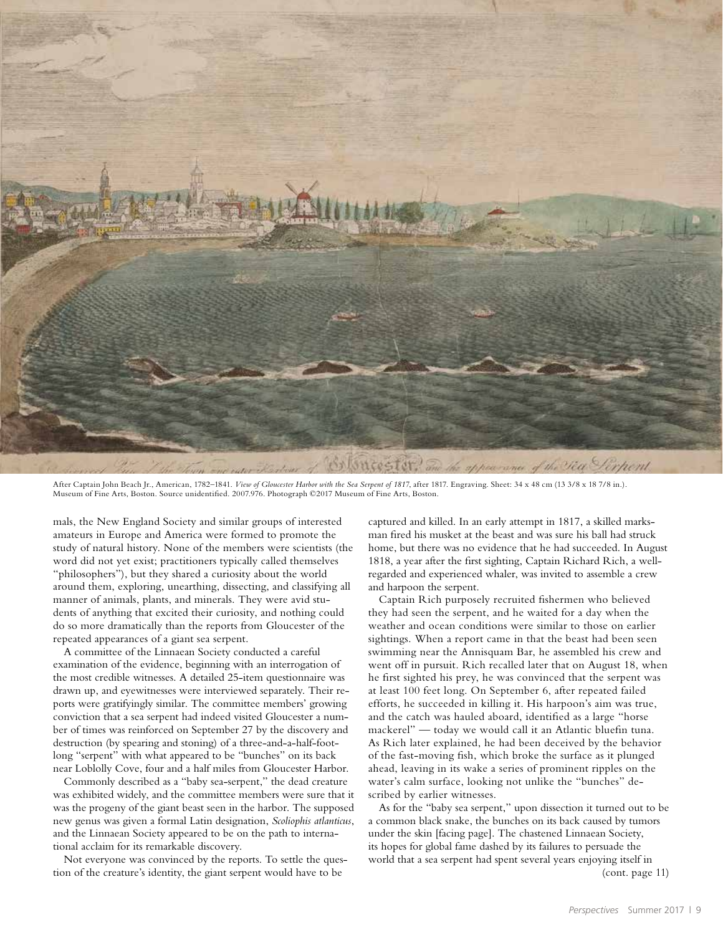

After Captain John Beach Jr., American, 1782-1841. *View of Gloucester Harbor with the Sea Serpent of 1817*, after 1817. Engraving. Sheet: 34 x 48 cm (13 3/8 x 18 7/8 in.). Museum of Fine Arts, Boston. Source unidentified. 2007.976. Photograph ©2017 Museum of Fine Arts, Boston.

mals, the New England Society and similar groups of interested amateurs in Europe and America were formed to promote the study of natural history. None of the members were scientists (the word did not yet exist; practitioners typically called themselves "philosophers"), but they shared a curiosity about the world around them, exploring, unearthing, dissecting, and classifying all manner of animals, plants, and minerals. They were avid students of anything that excited their curiosity, and nothing could do so more dramatically than the reports from Gloucester of the repeated appearances of a giant sea serpent.

A committee of the Linnaean Society conducted a careful examination of the evidence, beginning with an interrogation of the most credible witnesses. A detailed 25-item questionnaire was drawn up, and eyewitnesses were interviewed separately. Their reports were gratifyingly similar. The committee members' growing conviction that a sea serpent had indeed visited Gloucester a number of times was reinforced on September 27 by the discovery and destruction (by spearing and stoning) of a three-and-a-half-footlong "serpent" with what appeared to be "bunches" on its back near Loblolly Cove, four and a half miles from Gloucester Harbor.

Commonly described as a "baby sea-serpent," the dead creature was exhibited widely, and the committee members were sure that it was the progeny of the giant beast seen in the harbor. The supposed new genus was given a formal Latin designation, *Scoliophis atlanticus*, and the Linnaean Society appeared to be on the path to international acclaim for its remarkable discovery.

Not everyone was convinced by the reports. To settle the question of the creature's identity, the giant serpent would have to be

captured and killed. In an early attempt in 1817, a skilled marksman fired his musket at the beast and was sure his ball had struck home, but there was no evidence that he had succeeded. In August 1818, a year after the first sighting, Captain Richard Rich, a wellregarded and experienced whaler, was invited to assemble a crew and harpoon the serpent.

Captain Rich purposely recruited fishermen who believed they had seen the serpent, and he waited for a day when the weather and ocean conditions were similar to those on earlier sightings. When a report came in that the beast had been seen swimming near the Annisquam Bar, he assembled his crew and went off in pursuit. Rich recalled later that on August 18, when he first sighted his prey, he was convinced that the serpent was at least 100 feet long. On September 6, after repeated failed efforts, he succeeded in killing it. His harpoon's aim was true, and the catch was hauled aboard, identified as a large "horse mackerel" — today we would call it an Atlantic bluefin tuna. As Rich later explained, he had been deceived by the behavior of the fast-moving fish, which broke the surface as it plunged ahead, leaving in its wake a series of prominent ripples on the water's calm surface, looking not unlike the "bunches" described by earlier witnesses.

As for the "baby sea serpent," upon dissection it turned out to be a common black snake, the bunches on its back caused by tumors under the skin [facing page]. The chastened Linnaean Society, its hopes for global fame dashed by its failures to persuade the world that a sea serpent had spent several years enjoying itself in (cont. page 11)